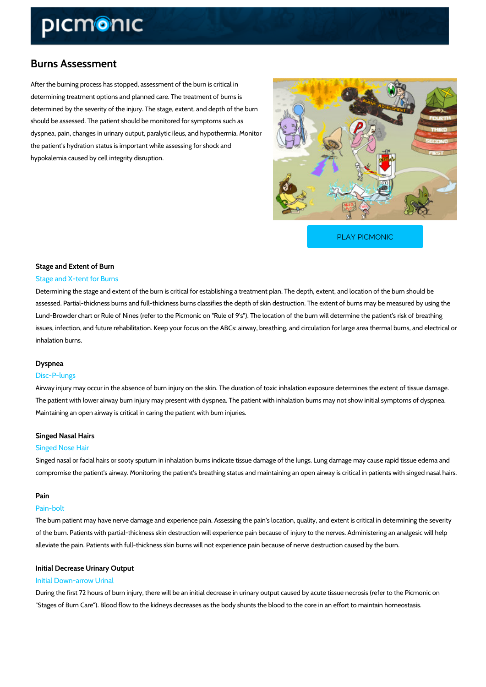## Burns Assessment

After the burning process has stopped, assessment of the burn is critical in determining treatment options and planned care. The treatment of burns is determined by the severity of the injury. The stage, extent, and depth of the burn should be assessed. The patient should be monitored for symptoms such as dyspnea, pain, changes in urinary output, paralytic ileus, and hypothermia. Monitor the patient's hydration status is important while assessing for shock and hypokalemia caused by cell integrity disruption.

[PLAY PICMONIC](https://www.picmonic.com/learn/burns-assessment_2134?utm_source=downloadable_content&utm_medium=distributedcontent&utm_campaign=pathways_pdf&utm_content=Burns Assessment&utm_ad_group=leads&utm_market=all)

## Stage and Extent of Burn Stage and X-tent for Burns

Determining the stage and extent of the burn is critical for establishing a treatment plan. The assessed. Partial-thickness burns and full-thickness burns classifies the depth of skin destruet Lund-Browder chart or Rule of Nines (refer to the Picmonic on "Rule of 9's"). The location of issues, infection, and future rehabilitation. Keep your focus on the ABCs: airway, breathing, and inhalation burns.

## Dyspnea

## Disc-P-lungs

Airway injury may occur in the absence of burn injury on the skin. The duration of toxic inhala The patient with lower airway burn injury may present with dyspnea. The patient with inhalation Maintaining an open airway is critical in caring the patient with burn injuries.

## Singed Nasal Hairs

### Singed Nose Hair

Singed nasal or facial hairs or sooty sputum in inhalation burns indicate tissue damage of the compromise the patient's airway. Monitoring the patient's breathing status and maintaining an

### Pain

#### Pain-bolt

The burn patient may have nerve damage and experience pain. Assessing the pain's location, of the burn. Patients with partial-thickness skin destruction will experience pain because of i alleviate the pain. Patients with full-thickness skin burns will not experience pain because of

## Initial Decrease Urinary Output Initial Down-arrow Urinal

During the first 72 hours of burn injury, there will be an initial decrease in urinary output cau "Stages of Burn Care"). Blood flow to the kidneys decreases as the body shunts the blood to t